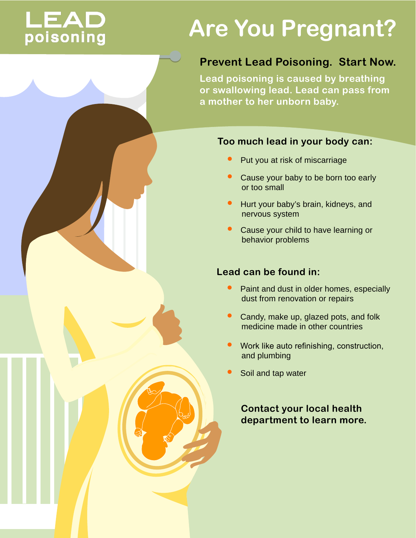# **LEAD**<br>poisoning

# **Are You Pregnant?**

## **Prevent Lead Poisoning. Start Now.**

**Lead poisoning is caused by breathing or swallowing lead. Lead can pass from a mother to her unborn baby.** 

#### **Too much lead in your body can:**

- Put you at risk of miscarriage
- Cause your baby to be born too early or too small •
- l Hurt your baby's brain, kidneys, and nervous system •
- Cause your child to have learning or behavior problems •

## **Lead can be found in:**

- Paint and dust in older homes, especially dust from renovation or repairs  $\bullet$
- Candy, make up, glazed pots, and folk medicine made in other countries •
- Work like auto refinishing, construction, and plumbing
- Soil and tap water

 **Contact your local health department to learn more.**